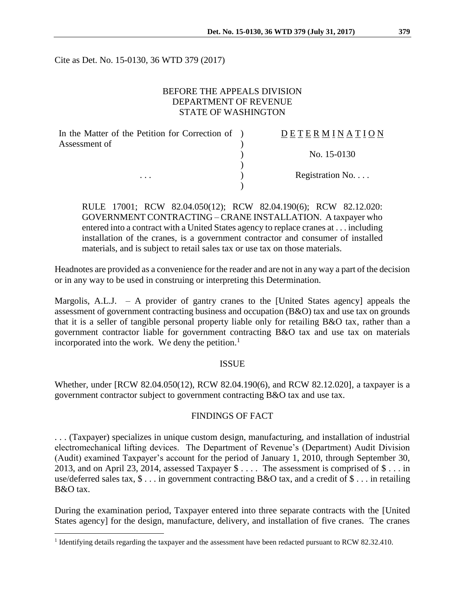Cite as Det. No. 15-0130, 36 WTD 379 (2017)

## BEFORE THE APPEALS DIVISION DEPARTMENT OF REVENUE STATE OF WASHINGTON

| In the Matter of the Petition for Correction of ) | DETERMINATION    |
|---------------------------------------------------|------------------|
| Assessment of<br>$\cdots$                         |                  |
|                                                   | No. 15-0130      |
|                                                   |                  |
|                                                   | Registration No. |
|                                                   |                  |

RULE 17001; RCW 82.04.050(12); RCW 82.04.190(6); RCW 82.12.020: GOVERNMENT CONTRACTING – CRANE INSTALLATION. A taxpayer who entered into a contract with a United States agency to replace cranes at . . . including installation of the cranes, is a government contractor and consumer of installed materials, and is subject to retail sales tax or use tax on those materials.

Headnotes are provided as a convenience for the reader and are not in any way a part of the decision or in any way to be used in construing or interpreting this Determination.

Margolis, A.L.J.  $-$  A provider of gantry cranes to the [United States agency] appeals the assessment of government contracting business and occupation (B&O) tax and use tax on grounds that it is a seller of tangible personal property liable only for retailing B&O tax, rather than a government contractor liable for government contracting B&O tax and use tax on materials incorporated into the work. We deny the petition. $<sup>1</sup>$ </sup>

## ISSUE

Whether, under [RCW 82.04.050(12), RCW 82.04.190(6), and RCW 82.12.020], a taxpayer is a government contractor subject to government contracting B&O tax and use tax.

#### FINDINGS OF FACT

. . . (Taxpayer) specializes in unique custom design, manufacturing, and installation of industrial electromechanical lifting devices. The Department of Revenue's (Department) Audit Division (Audit) examined Taxpayer's account for the period of January 1, 2010, through September 30, 2013, and on April 23, 2014, assessed Taxpayer  $\frac{1}{2}$ ... The assessment is comprised of  $\frac{1}{2}$ ... in use/deferred sales tax, \$ . . . in government contracting B&O tax, and a credit of \$ . . . in retailing B&O tax.

During the examination period, Taxpayer entered into three separate contracts with the [United States agency] for the design, manufacture, delivery, and installation of five cranes. The cranes

 $\overline{a}$ 

<sup>&</sup>lt;sup>1</sup> Identifying details regarding the taxpayer and the assessment have been redacted pursuant to RCW 82.32.410.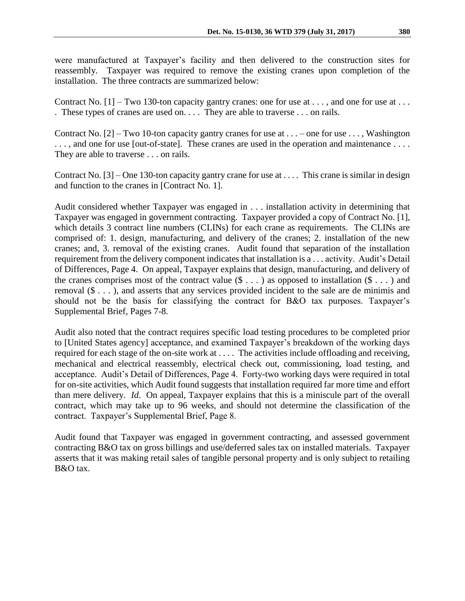were manufactured at Taxpayer's facility and then delivered to the construction sites for reassembly. Taxpayer was required to remove the existing cranes upon completion of the installation. The three contracts are summarized below:

Contract No.  $[1]$  – Two 130-ton capacity gantry cranes: one for use at ..., and one for use at ... . These types of cranes are used on. . . . They are able to traverse . . . on rails.

Contract No.  $[2]$  – Two 10-ton capacity gantry cranes for use at . . . – one for use . . . , Washington ..., and one for use [out-of-state]. These cranes are used in the operation and maintenance .... They are able to traverse . . . on rails.

Contract No.  $[3]$  – One 130-ton capacity gantry crane for use at .... This crane is similar in design and function to the cranes in [Contract No. 1].

Audit considered whether Taxpayer was engaged in . . . installation activity in determining that Taxpayer was engaged in government contracting. Taxpayer provided a copy of Contract No. [1], which details 3 contract line numbers (CLINs) for each crane as requirements. The CLINs are comprised of: 1. design, manufacturing, and delivery of the cranes; 2. installation of the new cranes; and, 3. removal of the existing cranes. Audit found that separation of the installation requirement from the delivery component indicates that installation is a . . . activity. Audit's Detail of Differences, Page 4. On appeal, Taxpayer explains that design, manufacturing, and delivery of the cranes comprises most of the contract value  $(\$\ldots)$  as opposed to installation  $(\$\ldots)$  and removal (\$ . . . ), and asserts that any services provided incident to the sale are de minimis and should not be the basis for classifying the contract for B&O tax purposes. Taxpayer's Supplemental Brief, Pages 7-8.

Audit also noted that the contract requires specific load testing procedures to be completed prior to [United States agency] acceptance, and examined Taxpayer's breakdown of the working days required for each stage of the on-site work at . . . . The activities include offloading and receiving, mechanical and electrical reassembly, electrical check out, commissioning, load testing, and acceptance. Audit's Detail of Differences, Page 4. Forty-two working days were required in total for on-site activities, which Audit found suggests that installation required far more time and effort than mere delivery. *Id*. On appeal, Taxpayer explains that this is a miniscule part of the overall contract, which may take up to 96 weeks, and should not determine the classification of the contract. Taxpayer's Supplemental Brief, Page 8.

Audit found that Taxpayer was engaged in government contracting, and assessed government contracting B&O tax on gross billings and use/deferred sales tax on installed materials. Taxpayer asserts that it was making retail sales of tangible personal property and is only subject to retailing B&O tax.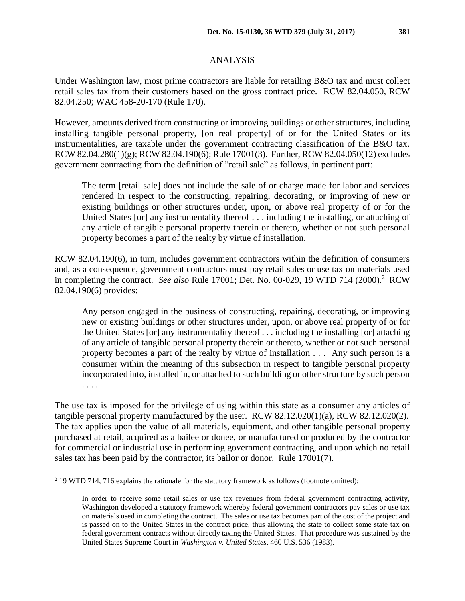Under Washington law, most prime contractors are liable for retailing B&O tax and must collect retail sales tax from their customers based on the gross contract price. RCW 82.04.050, RCW 82.04.250; WAC 458-20-170 (Rule 170).

However, amounts derived from constructing or improving buildings or other structures, including installing tangible personal property, [on real property] of or for the United States or its instrumentalities, are taxable under the government contracting classification of the B&O tax. RCW 82.04.280(1)(g); RCW 82.04.190(6); Rule 17001(3). Further, RCW 82.04.050(12) excludes government contracting from the definition of "retail sale" as follows, in pertinent part:

The term [retail sale] does not include the sale of or charge made for labor and services rendered in respect to the constructing, repairing, decorating, or improving of new or existing buildings or other structures under, upon, or above real property of or for the United States [or] any instrumentality thereof . . . including the installing, or attaching of any article of tangible personal property therein or thereto, whether or not such personal property becomes a part of the realty by virtue of installation.

RCW 82.04.190(6), in turn, includes government contractors within the definition of consumers and, as a consequence, government contractors must pay retail sales or use tax on materials used in completing the contract. *See also* Rule 17001; Det. No. 00-029, 19 WTD 714 (2000).<sup>2</sup> RCW 82.04.190(6) provides:

Any person engaged in the business of constructing, repairing, decorating, or improving new or existing buildings or other structures under, upon, or above real property of or for the United States [or] any instrumentality thereof . . . including the installing [or] attaching of any article of tangible personal property therein or thereto, whether or not such personal property becomes a part of the realty by virtue of installation . . . Any such person is a consumer within the meaning of this subsection in respect to tangible personal property incorporated into, installed in, or attached to such building or other structure by such person . . . .

The use tax is imposed for the privilege of using within this state as a consumer any articles of tangible personal property manufactured by the user. RCW 82.12.020(1)(a), RCW 82.12.020(2). The tax applies upon the value of all materials, equipment, and other tangible personal property purchased at retail, acquired as a bailee or donee, or manufactured or produced by the contractor for commercial or industrial use in performing government contracting, and upon which no retail sales tax has been paid by the contractor, its bailor or donor. Rule 17001(7).

 $\overline{a}$ 

<sup>2</sup> 19 WTD 714, 716 explains the rationale for the statutory framework as follows (footnote omitted):

In order to receive some retail sales or use tax revenues from federal government contracting activity, Washington developed a statutory framework whereby federal government contractors pay sales or use tax on materials used in completing the contract. The sales or use tax becomes part of the cost of the project and is passed on to the United States in the contract price, thus allowing the state to collect some state tax on federal government contracts without directly taxing the United States. That procedure was sustained by the United States Supreme Court in *Washington v. United States*, 460 U.S. 536 (1983).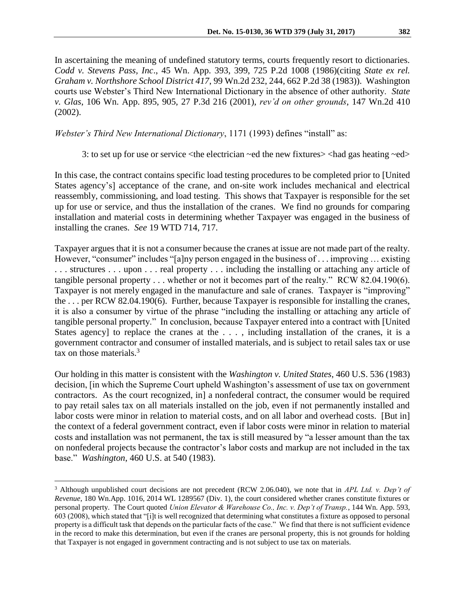In ascertaining the meaning of undefined statutory terms, courts frequently resort to dictionaries. *Codd v. Stevens Pass, Inc*., 45 Wn. App. 393, 399, 725 P.2d 1008 (1986)(citing *State ex rel. Graham v. Northshore School District 417*, 99 Wn.2d 232, 244, 662 P.2d 38 (1983)). Washington courts use Webster's Third New International Dictionary in the absence of other authority. *State v. Glas*, 106 Wn. App. 895, 905, 27 P.3d 216 (2001), *rev'd on other grounds*, 147 Wn.2d 410 (2002).

### *Webster's Third New International Dictionary*, 1171 (1993) defines "install" as:

3: to set up for use or service <the electrician ~ed the new fixtures> <had gas heating ~ed>

In this case, the contract contains specific load testing procedures to be completed prior to [United States agency's] acceptance of the crane, and on-site work includes mechanical and electrical reassembly, commissioning, and load testing. This shows that Taxpayer is responsible for the set up for use or service, and thus the installation of the cranes. We find no grounds for comparing installation and material costs in determining whether Taxpayer was engaged in the business of installing the cranes. *See* 19 WTD 714, 717.

Taxpayer argues that it is not a consumer because the cranes at issue are not made part of the realty. However, "consumer" includes "[a]ny person engaged in the business of . . . improving ... existing . . . structures . . . upon . . . real property . . . including the installing or attaching any article of tangible personal property . . . whether or not it becomes part of the realty." RCW 82.04.190(6). Taxpayer is not merely engaged in the manufacture and sale of cranes. Taxpayer is "improving" the . . . per RCW 82.04.190(6). Further, because Taxpayer is responsible for installing the cranes, it is also a consumer by virtue of the phrase "including the installing or attaching any article of tangible personal property." In conclusion, because Taxpayer entered into a contract with [United States agency] to replace the cranes at the . . . , including installation of the cranes, it is a government contractor and consumer of installed materials, and is subject to retail sales tax or use tax on those materials.<sup>3</sup>

Our holding in this matter is consistent with the *Washington v. United States*, 460 U.S. 536 (1983) decision, [in which the Supreme Court upheld Washington's assessment of use tax on government contractors. As the court recognized, in] a nonfederal contract, the consumer would be required to pay retail sales tax on all materials installed on the job, even if not permanently installed and labor costs were minor in relation to material costs, and on all labor and overhead costs. [But in] the context of a federal government contract, even if labor costs were minor in relation to material costs and installation was not permanent, the tax is still measured by "a lesser amount than the tax on nonfederal projects because the contractor's labor costs and markup are not included in the tax base." *Washington*, 460 U.S. at 540 (1983).

 $\overline{a}$ 

<sup>3</sup> Although unpublished court decisions are not precedent (RCW 2.06.040), we note that in *APL Ltd. v. Dep't of Revenue*, 180 Wn.App. 1016, 2014 WL 1289567 (Div. 1), the court considered whether cranes constitute fixtures or personal property. The Court quoted *Union Elevator & Warehouse Co., Inc. v. Dep't of Transp.*, 144 Wn. App. 593, 603 (2008), which stated that "[i]t is well recognized that determining what constitutes a fixture as opposed to personal property is a difficult task that depends on the particular facts of the case." We find that there is not sufficient evidence in the record to make this determination, but even if the cranes are personal property, this is not grounds for holding that Taxpayer is not engaged in government contracting and is not subject to use tax on materials.